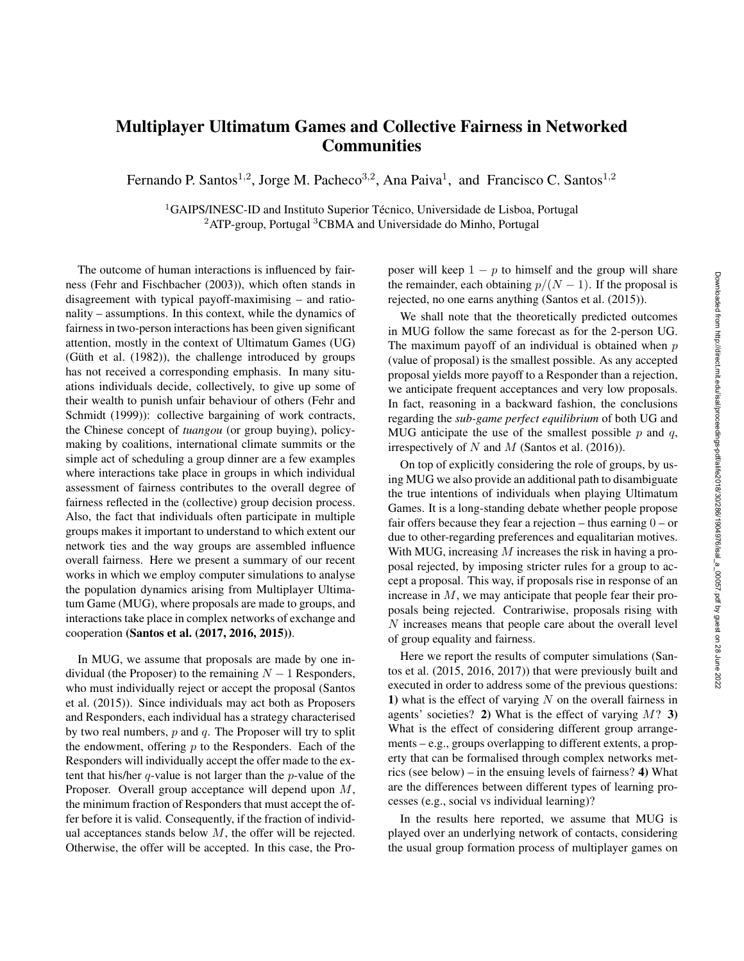## Multiplayer Ultimatum Games and Collective Fairness in Networked **Communities**

Fernando P. Santos<sup>1,2</sup>, Jorge M. Pacheco<sup>3,2</sup>, Ana Paiva<sup>1</sup>, and Francisco C. Santos<sup>1,2</sup>

 ${}^{1}$ GAIPS/INESC-ID and Instituto Superior Técnico, Universidade de Lisboa, Portugal <sup>2</sup>ATP-group, Portugal <sup>3</sup>CBMA and Universidade do Minho, Portugal

The outcome of human interactions is influenced by fairness (Fehr and Fischbacher (2003)), which often stands in disagreement with typical payoff-maximising – and rationality – assumptions. In this context, while the dynamics of fairness in two-person interactions has been given significant attention, mostly in the context of Ultimatum Games (UG) (Güth et al.  $(1982)$ ), the challenge introduced by groups has not received a corresponding emphasis. In many situations individuals decide, collectively, to give up some of their wealth to punish unfair behaviour of others (Fehr and Schmidt (1999)): collective bargaining of work contracts, the Chinese concept of *tuangou* (or group buying), policymaking by coalitions, international climate summits or the simple act of scheduling a group dinner are a few examples where interactions take place in groups in which individual assessment of fairness contributes to the overall degree of fairness reflected in the (collective) group decision process. Also, the fact that individuals often participate in multiple groups makes it important to understand to which extent our network ties and the way groups are assembled influence overall fairness. Here we present a summary of our recent works in which we employ computer simulations to analyse the population dynamics arising from Multiplayer Ultimatum Game (MUG), where proposals are made to groups, and interactions take place in complex networks of exchange and cooperation (Santos et al. (2017, 2016, 2015)).

In MUG, we assume that proposals are made by one individual (the Proposer) to the remaining  $N - 1$  Responders, who must individually reject or accept the proposal (Santos et al. (2015)). Since individuals may act both as Proposers and Responders, each individual has a strategy characterised by two real numbers,  $p$  and  $q$ . The Proposer will try to split the endowment, offering  $p$  to the Responders. Each of the Responders will individually accept the offer made to the extent that his/her  $q$ -value is not larger than the  $p$ -value of the Proposer. Overall group acceptance will depend upon M, the minimum fraction of Responders that must accept the offer before it is valid. Consequently, if the fraction of individual acceptances stands below  $M$ , the offer will be rejected. Otherwise, the offer will be accepted. In this case, the Proposer will keep  $1 - p$  to himself and the group will share the remainder, each obtaining  $p/(N-1)$ . If the proposal is rejected, no one earns anything (Santos et al. (2015)).

We shall note that the theoretically predicted outcomes in MUG follow the same forecast as for the 2-person UG. The maximum payoff of an individual is obtained when  $p$ (value of proposal) is the smallest possible. As any accepted proposal yields more payoff to a Responder than a rejection, we anticipate frequent acceptances and very low proposals. In fact, reasoning in a backward fashion, the conclusions regarding the *sub-game perfect equilibrium* of both UG and MUG anticipate the use of the smallest possible  $p$  and  $q$ , irrespectively of  $N$  and  $M$  (Santos et al. (2016)).

On top of explicitly considering the role of groups, by using MUG we also provide an additional path to disambiguate the true intentions of individuals when playing Ultimatum Games. It is a long-standing debate whether people propose fair offers because they fear a rejection – thus earning  $0$  – or due to other-regarding preferences and equalitarian motives. With MUG, increasing  $M$  increases the risk in having a proposal rejected, by imposing stricter rules for a group to accept a proposal. This way, if proposals rise in response of an increase in  $M$ , we may anticipate that people fear their proposals being rejected. Contrariwise, proposals rising with N increases means that people care about the overall level of group equality and fairness.

Here we report the results of computer simulations (Santos et al. (2015, 2016, 2017)) that were previously built and executed in order to address some of the previous questions: 1) what is the effect of varying  $N$  on the overall fairness in agents' societies? 2) What is the effect of varying  $M$ ? 3) What is the effect of considering different group arrangements – e.g., groups overlapping to different extents, a property that can be formalised through complex networks metrics (see below) – in the ensuing levels of fairness? 4) What are the differences between different types of learning processes (e.g., social vs individual learning)?

In the results here reported, we assume that MUG is played over an underlying network of contacts, considering the usual group formation process of multiplayer games on